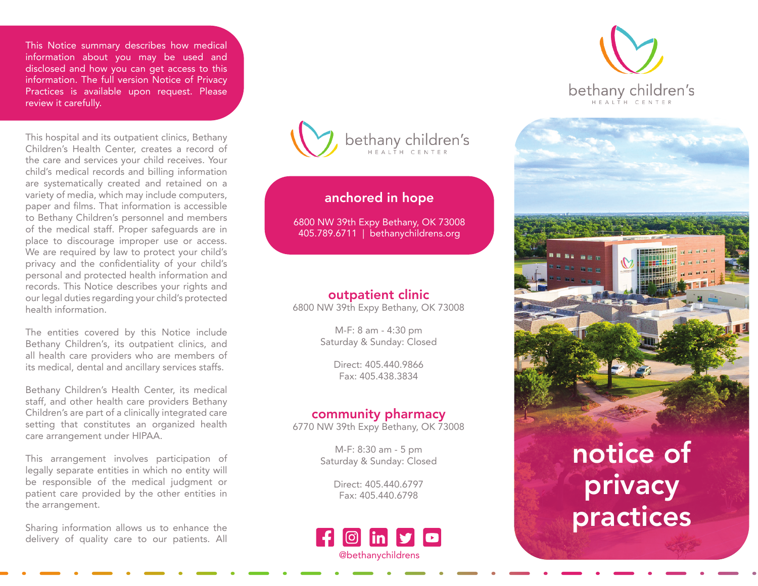This Notice summary describes how medical information about you may be used and disclosed and how you can get access to this information. The full version Notice of Privacy Practices is available upon request. Please review it carefully.

This hospital and its outpatient clinics, Bethany Children's Health Center, creates a record of the care and services your child receives. Your child's medical records and billing information are systematically created and retained on a variety of media, which may include computers, paper and films. That information is accessible to Bethany Children's personnel and members of the medical staff. Proper safeguards are in place to discourage improper use or access. We are required by law to protect your child's privacy and the confidentiality of your child's personal and protected health information and records. This Notice describes your rights and our legal duties regarding your child's protected health information.

The entities covered by this Notice include Bethany Children's, its outpatient clinics, and all health care providers who are members of its medical, dental and ancillary services staffs.

Bethany Children's Health Center, its medical staff, and other health care providers Bethany Children's are part of a clinically integrated care setting that constitutes an organized health care arrangement under HIPAA.

This arrangement involves participation of legally separate entities in which no entity will be responsible of the medical judgment or patient care provided by the other entities in the arrangement.

Sharing information allows us to enhance the delivery of quality care to our patients. All



## anchored in hope

6800 NW 39th Expy Bethany, OK 73008 405.789.6711 | bethanychildrens.org

## outpatient clinic

6800 NW 39th Expy Bethany, OK 73008

M-F: 8 am - 4:30 pm Saturday & Sunday: Closed

> Direct: 405.440.9866 Fax: 405.438.3834

## community pharmacy

6770 NW 39th Expy Bethany, OK 73008

M-F: 8:30 am - 5 pm Saturday & Sunday: Closed

> Direct: 405.440.6797 Fax: 405.440.6798



## bethany children's HEALTH CENTER